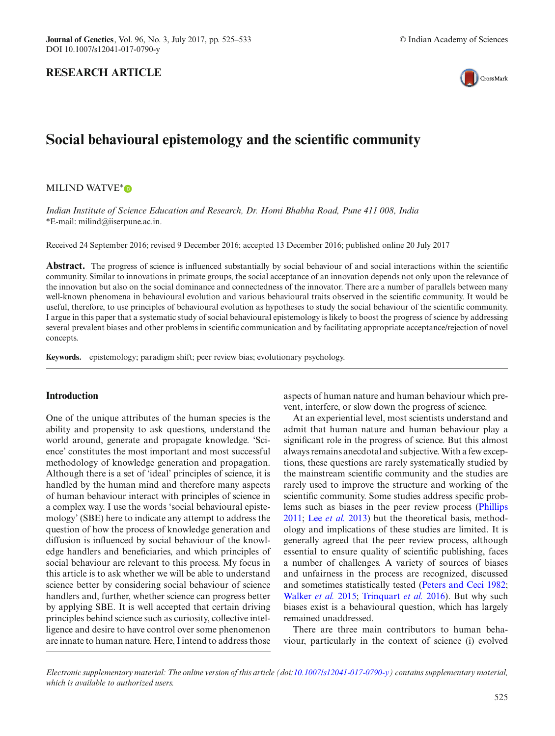## **RESEARCH ARTICLE**



# **Social behavioural epistemology and the scientific community**

### MILIND WATVE<sup>\*</sup> D

*Indian Institute of Science Education and Research, Dr. Homi Bhabha Road, Pune 411 008, India* \*E-mail: milind@iiserpune.ac.in.

Received 24 September 2016; revised 9 December 2016; accepted 13 December 2016; published online 20 July 2017

**Abstract.** The progress of science is influenced substantially by social behaviour of and social interactions within the scientific community. Similar to innovations in primate groups, the social acceptance of an innovation depends not only upon the relevance of the innovation but also on the social dominance and connectedness of the innovator. There are a number of parallels between many well-known phenomena in behavioural evolution and various behavioural traits observed in the scientific community. It would be useful, therefore, to use principles of behavioural evolution as hypotheses to study the social behaviour of the scientific community. I argue in this paper that a systematic study of social behavioural epistemology is likely to boost the progress of science by addressing several prevalent biases and other problems in scientific communication and by facilitating appropriate acceptance/rejection of novel concepts.

**Keywords.** epistemology; paradigm shift; peer review bias; evolutionary psychology.

## **Introduction**

One of the unique attributes of the human species is the ability and propensity to ask questions, understand the world around, generate and propagate knowledge. 'Science' constitutes the most important and most successful methodology of knowledge generation and propagation. Although there is a set of 'ideal' principles of science, it is handled by the human mind and therefore many aspects of human behaviour interact with principles of science in a complex way. I use the words 'social behavioural epistemology' (SBE) here to indicate any attempt to address the question of how the process of knowledge generation and diffusion is influenced by social behaviour of the knowledge handlers and beneficiaries, and which principles of social behaviour are relevant to this process. My focus in this article is to ask whether we will be able to understand science better by considering social behaviour of science handlers and, further, whether science can progress better by applying SBE. It is well accepted that certain driving principles behind science such as curiosity, collective intelligence and desire to have control over some phenomenon are innate to human nature. Here, I intend to address those aspects of human nature and human behaviour which prevent, interfere, or slow down the progress of science.

At an experiential level, most scientists understand and admit that human nature and human behaviour play a significant role in the progress of science. But this almost always remains anecdotal and subjective.With a few exceptions, these questions are rarely systematically studied by the mainstream scientific community and the studies are rarely used to improve the structure and working of the scientific community. Some studies address specific problems such as biases in the peer review process [\(Phillips](#page-8-0) [2011](#page-8-0); Lee *[et al.](#page-8-1)* [2013](#page-8-1)) but the theoretical basis, methodology and implications of these studies are limited. It is generally agreed that the peer review process, although essential to ensure quality of scientific publishing, faces a number of challenges. A variety of sources of biases and unfairness in the process are recognized, discussed and sometimes statistically tested [\(Peters and Ceci 1982;](#page-8-2) [Walker](#page-8-3) *et al.* [2015;](#page-8-3) [Trinquart](#page-8-4) *et al.* [2016\)](#page-8-4). But why such biases exist is a behavioural question, which has largely remained unaddressed.

There are three main contributors to human behaviour, particularly in the context of science (i) evolved

*Electronic supplementary material: The online version of this article (doi[:10.1007/s12041-017-0790-y\)](http://dx.doi.org/10.1007/s12041-017-0790-y) contains supplementary material, which is available to authorized users.*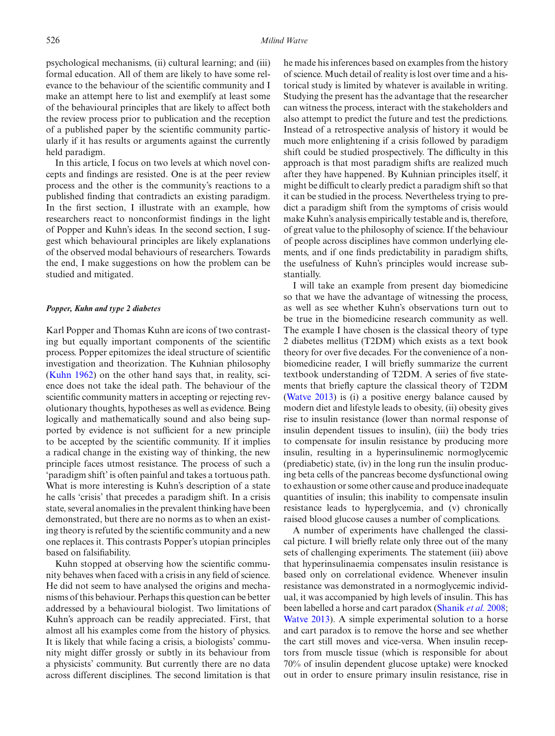psychological mechanisms, (ii) cultural learning; and (iii) formal education. All of them are likely to have some relevance to the behaviour of the scientific community and I make an attempt here to list and exemplify at least some of the behavioural principles that are likely to affect both the review process prior to publication and the reception of a published paper by the scientific community particularly if it has results or arguments against the currently held paradigm.

In this article, I focus on two levels at which novel concepts and findings are resisted. One is at the peer review process and the other is the community's reactions to a published finding that contradicts an existing paradigm. In the first section, I illustrate with an example, how researchers react to nonconformist findings in the light of Popper and Kuhn's ideas. In the second section, I suggest which behavioural principles are likely explanations of the observed modal behaviours of researchers. Towards the end, I make suggestions on how the problem can be studied and mitigated.

#### *Popper, Kuhn and type 2 diabetes*

Karl Popper and Thomas Kuhn are icons of two contrasting but equally important components of the scientific process. Popper epitomizes the ideal structure of scientific investigation and theorization. The Kuhnian philosophy [\(Kuhn 1962](#page-8-5)) on the other hand says that, in reality, science does not take the ideal path. The behaviour of the scientific community matters in accepting or rejecting revolutionary thoughts, hypotheses as well as evidence. Being logically and mathematically sound and also being supported by evidence is not sufficient for a new principle to be accepted by the scientific community. If it implies a radical change in the existing way of thinking, the new principle faces utmost resistance. The process of such a 'paradigm shift' is often painful and takes a tortuous path. What is more interesting is Kuhn's description of a state he calls 'crisis' that precedes a paradigm shift. In a crisis state, several anomalies in the prevalent thinking have been demonstrated, but there are no norms as to when an existing theory is refuted by the scientific community and a new one replaces it. This contrasts Popper's utopian principles based on falsifiability.

Kuhn stopped at observing how the scientific community behaves when faced with a crisis in any field of science. He did not seem to have analysed the origins and mechanisms of this behaviour. Perhaps this question can be better addressed by a behavioural biologist. Two limitations of Kuhn's approach can be readily appreciated. First, that almost all his examples come from the history of physics. It is likely that while facing a crisis, a biologists' community might differ grossly or subtly in its behaviour from a physicists' community. But currently there are no data across different disciplines. The second limitation is that he made his inferences based on examples from the history of science. Much detail of reality is lost over time and a historical study is limited by whatever is available in writing. Studying the present has the advantage that the researcher can witness the process, interact with the stakeholders and also attempt to predict the future and test the predictions. Instead of a retrospective analysis of history it would be much more enlightening if a crisis followed by paradigm shift could be studied prospectively. The difficulty in this approach is that most paradigm shifts are realized much after they have happened. By Kuhnian principles itself, it might be difficult to clearly predict a paradigm shift so that it can be studied in the process. Nevertheless trying to predict a paradigm shift from the symptoms of crisis would make Kuhn's analysis empirically testable and is, therefore, of great value to the philosophy of science. If the behaviour of people across disciplines have common underlying elements, and if one finds predictability in paradigm shifts, the usefulness of Kuhn's principles would increase substantially.

I will take an example from present day biomedicine so that we have the advantage of witnessing the process, as well as see whether Kuhn's observations turn out to be true in the biomedicine research community as well. The example I have chosen is the classical theory of type 2 diabetes mellitus (T2DM) which exists as a text book theory for over five decades. For the convenience of a nonbiomedicine reader, I will briefly summarize the current textbook understanding of T2DM. A series of five statements that briefly capture the classical theory of T2DM [\(Watve 2013\)](#page-8-6) is (i) a positive energy balance caused by modern diet and lifestyle leads to obesity, (ii) obesity gives rise to insulin resistance (lower than normal response of insulin dependent tissues to insulin), (iii) the body tries to compensate for insulin resistance by producing more insulin, resulting in a hyperinsulinemic normoglycemic (prediabetic) state, (iv) in the long run the insulin producing beta cells of the pancreas become dysfunctional owing to exhaustion or some other cause and produce inadequate quantities of insulin; this inability to compensate insulin resistance leads to hyperglycemia, and (v) chronically raised blood glucose causes a number of complications.

A number of experiments have challenged the classical picture. I will briefly relate only three out of the many sets of challenging experiments. The statement (iii) above that hyperinsulinaemia compensates insulin resistance is based only on correlational evidence. Whenever insulin resistance was demonstrated in a normoglycemic individual, it was accompanied by high levels of insulin. This has been labelled a horse and cart paradox [\(Shanik](#page-8-7) *et al.* [2008;](#page-8-7) [Watve 2013](#page-8-6)). A simple experimental solution to a horse and cart paradox is to remove the horse and see whether the cart still moves and vice-versa. When insulin receptors from muscle tissue (which is responsible for about 70% of insulin dependent glucose uptake) were knocked out in order to ensure primary insulin resistance, rise in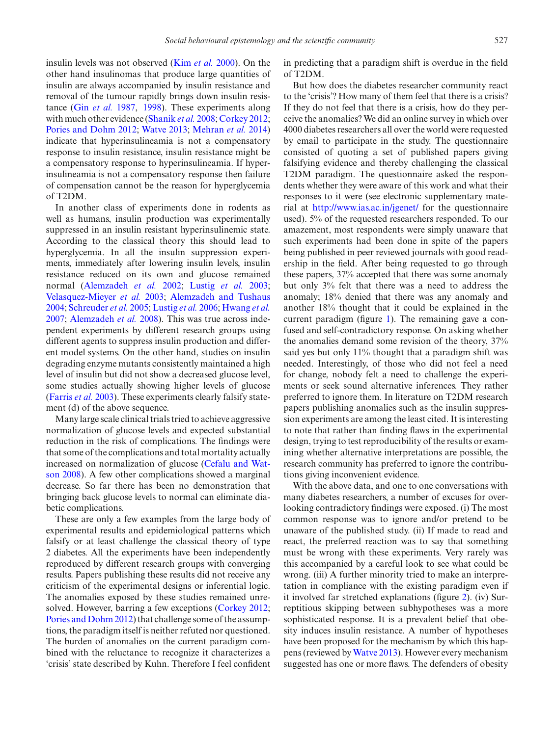insulin levels was not observed (Kim *[et al.](#page-8-8)* [2000](#page-8-8)). On the other hand insulinomas that produce large quantities of insulin are always accompanied by insulin resistance and removal of the tumour rapidly brings down insulin resistance (Gin *[et al.](#page-7-0)* [1987](#page-7-0), [1998](#page-7-1)). These experiments along with much other evidence [\(Shanik](#page-8-7) *et al.* [2008](#page-8-7); [Corkey 2012;](#page-7-2) [Pories and Dohm 2012;](#page-8-9) [Watve 2013](#page-8-6); [Mehran](#page-8-10) *et al.* [2014\)](#page-8-10) indicate that hyperinsulineamia is not a compensatory response to insulin resistance, insulin resistance might be a compensatory response to hyperinsulineamia. If hyperinsulineamia is not a compensatory response then failure of compensation cannot be the reason for hyperglycemia of T2DM.

In another class of experiments done in rodents as well as humans, insulin production was experimentally suppressed in an insulin resistant hyperinsulinemic state. According to the classical theory this should lead to hyperglycemia. In all the insulin suppression experiments, immediately after lowering insulin levels, insulin resistance reduced on its own and glucose remained normal [\(Alemzadeh](#page-7-3) *et al.* [2002;](#page-7-3) [Lustig](#page-8-11) *et al.* [2003;](#page-8-11) [Velasquez-Mieyer](#page-8-12) *et al.* [2003;](#page-8-12) [Alemzadeh and Tushaus](#page-7-4) [2004](#page-7-4); [Schreuder](#page-8-13) *et al.* [2005](#page-8-13); [Lustig](#page-8-14) *et al.* [2006;](#page-8-14) [Hwang](#page-8-15) *et al.* [2007](#page-8-15); [Alemzadeh](#page-7-5) *et al.* [2008\)](#page-7-5). This was true across independent experiments by different research groups using different agents to suppress insulin production and different model systems. On the other hand, studies on insulin degrading enzyme mutants consistently maintained a high level of insulin but did not show a decreased glucose level, some studies actually showing higher levels of glucose [\(Farris](#page-7-6) *et al.* [2003](#page-7-6)). These experiments clearly falsify statement (d) of the above sequence.

Many large scale clinical trials tried to achieve aggressive normalization of glucose levels and expected substantial reduction in the risk of complications. The findings were that some of the complications and total mortality actually inc[reased](#page-7-7) [on](#page-7-7) [normalization](#page-7-7) [of](#page-7-7) [glucose](#page-7-7) [\(](#page-7-7)Cefalu and Watson [2008\)](#page-7-7). A few other complications showed a marginal decrease. So far there has been no demonstration that bringing back glucose levels to normal can eliminate diabetic complications.

These are only a few examples from the large body of experimental results and epidemiological patterns which falsify or at least challenge the classical theory of type 2 diabetes. All the experiments have been independently reproduced by different research groups with converging results. Papers publishing these results did not receive any criticism of the experimental designs or inferential logic. The anomalies exposed by these studies remained unresolved. However, barring a few exceptions [\(Corkey 2012;](#page-7-2) [Pories and Dohm 2012\)](#page-8-9) that challenge some of the assumptions, the paradigm itself is neither refuted nor questioned. The burden of anomalies on the current paradigm combined with the reluctance to recognize it characterizes a 'crisis' state described by Kuhn. Therefore I feel confident

in predicting that a paradigm shift is overdue in the field of T2DM.

But how does the diabetes researcher community react to the 'crisis'? How many of them feel that there is a crisis? If they do not feel that there is a crisis, how do they perceive the anomalies? We did an online survey in which over 4000 diabetes researchers all over the world were requested by email to participate in the study. The questionnaire consisted of quoting a set of published papers giving falsifying evidence and thereby challenging the classical T2DM paradigm. The questionnaire asked the respondents whether they were aware of this work and what their responses to it were (see electronic supplementary material at <http://www.ias.ac.in/jgenet/> for the questionnaire used). 5% of the requested researchers responded. To our amazement, most respondents were simply unaware that such experiments had been done in spite of the papers being published in peer reviewed journals with good readership in the field. After being requested to go through these papers, 37% accepted that there was some anomaly but only 3% felt that there was a need to address the anomaly; 18% denied that there was any anomaly and another 18% thought that it could be explained in the current paradigm (figure [1\)](#page-3-0). The remaining gave a confused and self-contradictory response. On asking whether the anomalies demand some revision of the theory, 37% said yes but only 11% thought that a paradigm shift was needed. Interestingly, of those who did not feel a need for change, nobody felt a need to challenge the experiments or seek sound alternative inferences. They rather preferred to ignore them. In literature on T2DM research papers publishing anomalies such as the insulin suppression experiments are among the least cited. It is interesting to note that rather than finding flaws in the experimental design, trying to test reproducibility of the results or examining whether alternative interpretations are possible, the research community has preferred to ignore the contributions giving inconvenient evidence.

With the above data, and one to one conversations with many diabetes researchers, a number of excuses for overlooking contradictory findings were exposed. (i) The most common response was to ignore and/or pretend to be unaware of the published study. (ii) If made to read and react, the preferred reaction was to say that something must be wrong with these experiments. Very rarely was this accompanied by a careful look to see what could be wrong. (iii) A further minority tried to make an interpretation in compliance with the existing paradigm even if it involved far stretched explanations (figure [2\)](#page-3-1). (iv) Surreptitious skipping between subhypotheses was a more sophisticated response. It is a prevalent belief that obesity induces insulin resistance. A number of hypotheses have been proposed for the mechanism by which this happens (reviewed by [Watve 2013\)](#page-8-6). However every mechanism suggested has one or more flaws. The defenders of obesity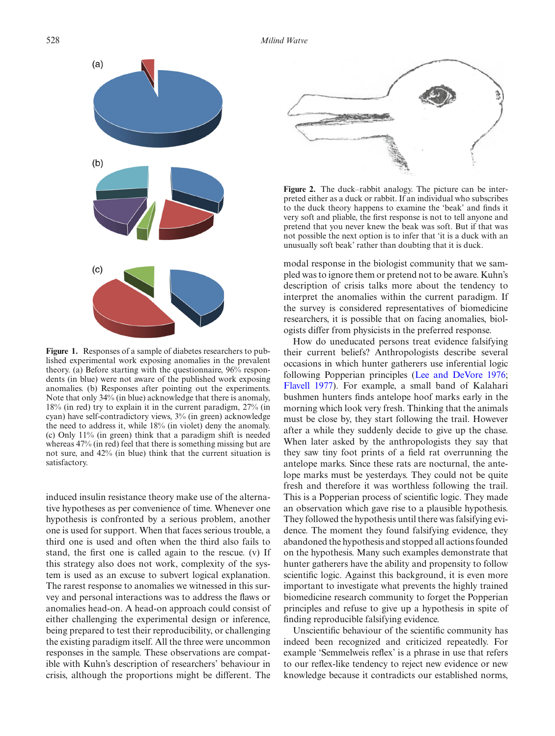

<span id="page-3-0"></span>**Figure 1.** Responses of a sample of diabetes researchers to published experimental work exposing anomalies in the prevalent theory. (a) Before starting with the questionnaire, 96% respondents (in blue) were not aware of the published work exposing anomalies. (b) Responses after pointing out the experiments. Note that only 34% (in blue) acknowledge that there is anomaly, 18% (in red) try to explain it in the current paradigm, 27% (in cyan) have self-contradictory views, 3% (in green) acknowledge the need to address it, while 18% (in violet) deny the anomaly. (c) Only 11% (in green) think that a paradigm shift is needed whereas 47% (in red) feel that there is something missing but are not sure, and 42% (in blue) think that the current situation is satisfactory.

induced insulin resistance theory make use of the alternative hypotheses as per convenience of time. Whenever one hypothesis is confronted by a serious problem, another one is used for support. When that faces serious trouble, a third one is used and often when the third also fails to stand, the first one is called again to the rescue. (v) If this strategy also does not work, complexity of the system is used as an excuse to subvert logical explanation. The rarest response to anomalies we witnessed in this survey and personal interactions was to address the flaws or anomalies head-on. A head-on approach could consist of either challenging the experimental design or inference, being prepared to test their reproducibility, or challenging the existing paradigm itself. All the three were uncommon responses in the sample. These observations are compatible with Kuhn's description of researchers' behaviour in crisis, although the proportions might be different. The



**Figure 2.** The duck–rabbit analogy. The picture can be interpreted either as a duck or rabbit. If an individual who subscribes to the duck theory happens to examine the 'beak' and finds it very soft and pliable, the first response is not to tell anyone and pretend that you never knew the beak was soft. But if that was not possible the next option is to infer that 'it is a duck with an unusually soft beak' rather than doubting that it is duck.

<span id="page-3-1"></span>modal response in the biologist community that we sampled was to ignore them or pretend not to be aware. Kuhn's description of crisis talks more about the tendency to interpret the anomalies within the current paradigm. If the survey is considered representatives of biomedicine researchers, it is possible that on facing anomalies, biologists differ from physicists in the preferred response.

How do uneducated persons treat evidence falsifying their current beliefs? Anthropologists describe several occasions in which hunter gatherers use inferential logic following Popperian principles [\(Lee and DeVore 1976;](#page-8-16) [Flavell 1977](#page-7-8)). For example, a small band of Kalahari bushmen hunters finds antelope hoof marks early in the morning which look very fresh. Thinking that the animals must be close by, they start following the trail. However after a while they suddenly decide to give up the chase. When later asked by the anthropologists they say that they saw tiny foot prints of a field rat overrunning the antelope marks. Since these rats are nocturnal, the antelope marks must be yesterdays. They could not be quite fresh and therefore it was worthless following the trail. This is a Popperian process of scientific logic. They made an observation which gave rise to a plausible hypothesis. They followed the hypothesis until there was falsifying evidence. The moment they found falsifying evidence, they abandoned the hypothesis and stopped all actions founded on the hypothesis. Many such examples demonstrate that hunter gatherers have the ability and propensity to follow scientific logic. Against this background, it is even more important to investigate what prevents the highly trained biomedicine research community to forget the Popperian principles and refuse to give up a hypothesis in spite of finding reproducible falsifying evidence.

Unscientific behaviour of the scientific community has indeed been recognized and criticized repeatedly. For example 'Semmelweis reflex' is a phrase in use that refers to our reflex-like tendency to reject new evidence or new knowledge because it contradicts our established norms,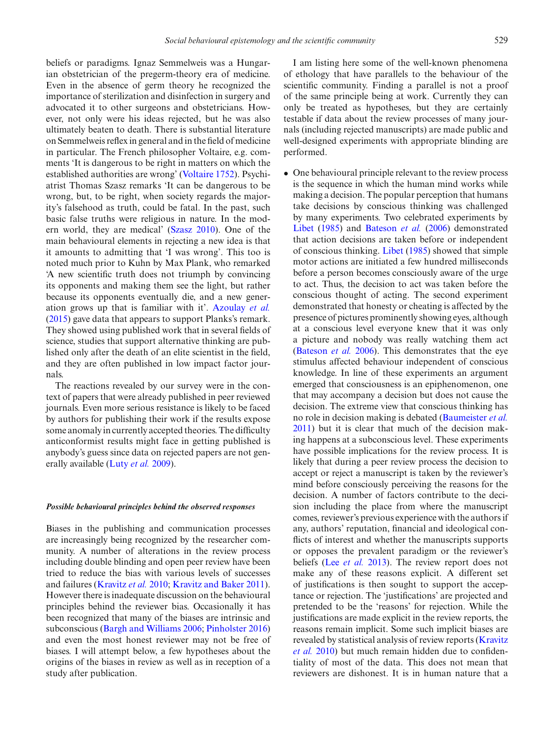beliefs or paradigms. Ignaz Semmelweis was a Hungarian obstetrician of the pregerm-theory era of medicine. Even in the absence of germ theory he recognized the importance of sterilization and disinfection in surgery and advocated it to other surgeons and obstetricians. However, not only were his ideas rejected, but he was also ultimately beaten to death. There is substantial literature on Semmelweis reflex in general and in the field of medicine in particular. The French philosopher Voltaire, e.g. comments 'It is dangerous to be right in matters on which the established authorities are wrong' [\(Voltaire 1752](#page-8-17)). Psychiatrist Thomas Szasz remarks 'It can be dangerous to be wrong, but, to be right, when society regards the majority's falsehood as truth, could be fatal. In the past, such basic false truths were religious in nature. In the modern world, they are medical' [\(Szasz 2010\)](#page-8-18). One of the main behavioural elements in rejecting a new idea is that it amounts to admitting that 'I was wrong'. This too is noted much prior to Kuhn by Max Plank, who remarked 'A new scientific truth does not triumph by convincing its opponents and making them see the light, but rather because its opponents eventually die, and a new generation grows up that is familiar with it'. [Azoulay](#page-7-9) *et al.* [\(2015\)](#page-7-9) gave data that appears to support Planks's remark. They showed using published work that in several fields of science, studies that support alternative thinking are published only after the death of an elite scientist in the field, and they are often published in low impact factor journals.

The reactions revealed by our survey were in the context of papers that were already published in peer reviewed journals. Even more serious resistance is likely to be faced by authors for publishing their work if the results expose some anomaly in currently accepted theories. The difficulty anticonformist results might face in getting published is anybody's guess since data on rejected papers are not generally available [\(Luty](#page-8-19) *et al.* [2009](#page-8-19)).

#### *Possible behavioural principles behind the observed responses*

Biases in the publishing and communication processes are increasingly being recognized by the researcher community. A number of alterations in the review process including double blinding and open peer review have been tried to reduce the bias with various levels of successes and failures [\(Kravitz](#page-8-20) *et al.* [2010](#page-8-20); [Kravitz and Baker 2011](#page-8-21)). However there is inadequate discussion on the behavioural principles behind the reviewer bias. Occasionally it has been recognized that many of the biases are intrinsic and subconscious [\(Bargh and Williams 2006;](#page-7-10) [Pinholster 2016\)](#page-8-22) and even the most honest reviewer may not be free of biases. I will attempt below, a few hypotheses about the origins of the biases in review as well as in reception of a study after publication.

I am listing here some of the well-known phenomena of ethology that have parallels to the behaviour of the scientific community. Finding a parallel is not a proof of the same principle being at work. Currently they can only be treated as hypotheses, but they are certainly testable if data about the review processes of many journals (including rejected manuscripts) are made public and well-designed experiments with appropriate blinding are performed.

• One behavioural principle relevant to the review process is the sequence in which the human mind works while making a decision. The popular perception that humans take decisions by conscious thinking was challenged by many experiments. Two celebrated experiments by [Libet](#page-8-23) [\(1985](#page-8-23)) and [Bateson](#page-7-11) *et al.* [\(2006](#page-7-11)) demonstrated that action decisions are taken before or independent of conscious thinking. [Libet](#page-8-23) [\(1985\)](#page-8-23) showed that simple motor actions are initiated a few hundred milliseconds before a person becomes consciously aware of the urge to act. Thus, the decision to act was taken before the conscious thought of acting. The second experiment demonstrated that honesty or cheating is affected by the presence of pictures prominently showing eyes, although at a conscious level everyone knew that it was only a picture and nobody was really watching them act [\(Bateson](#page-7-11) *et al.* [2006](#page-7-11)). This demonstrates that the eye stimulus affected behaviour independent of conscious knowledge. In line of these experiments an argument emerged that consciousness is an epiphenomenon, one that may accompany a decision but does not cause the decision. The extreme view that conscious thinking has no role in decision making is debated [\(Baumeister](#page-7-12) *et al.* [2011](#page-7-12)) but it is clear that much of the decision making happens at a subconscious level. These experiments have possible implications for the review process. It is likely that during a peer review process the decision to accept or reject a manuscript is taken by the reviewer's mind before consciously perceiving the reasons for the decision. A number of factors contribute to the decision including the place from where the manuscript comes, reviewer's previous experience with the authors if any, authors' reputation, financial and ideological conflicts of interest and whether the manuscripts supports or opposes the prevalent paradigm or the reviewer's beliefs (Lee *[et al.](#page-8-1)* [2013\)](#page-8-1). The review report does not make any of these reasons explicit. A different set of justifications is then sought to support the acceptance or rejection. The 'justifications' are projected and pretended to be the 'reasons' for rejection. While the justifications are made explicit in the review reports, the reasons remain implicit. Some such implicit biases are reve[aled](#page-8-20) [by](#page-8-20) [statistical](#page-8-20) [analysis](#page-8-20) [of](#page-8-20) [review](#page-8-20) [reports](#page-8-20) [\(](#page-8-20)Kravitz *et al.* [2010](#page-8-20)) but much remain hidden due to confidentiality of most of the data. This does not mean that reviewers are dishonest. It is in human nature that a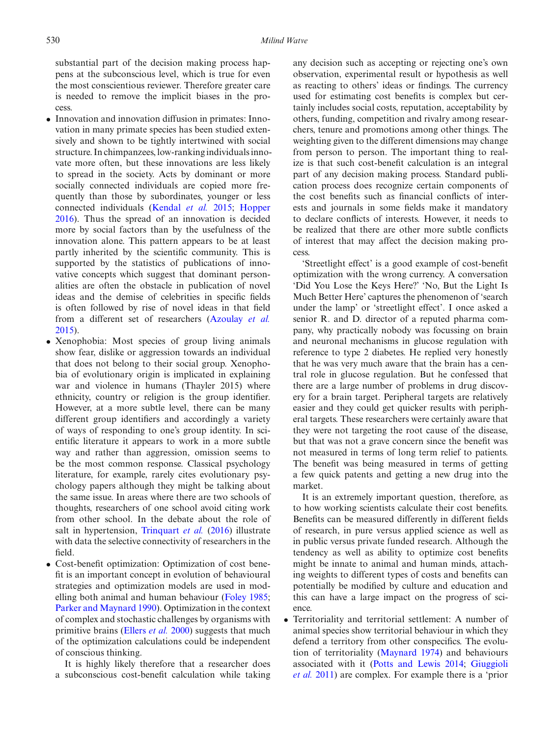substantial part of the decision making process happens at the subconscious level, which is true for even the most conscientious reviewer. Therefore greater care is needed to remove the implicit biases in the process.

- Innovation and innovation diffusion in primates: Innovation in many primate species has been studied extensively and shown to be tightly intertwined with social structure. In chimpanzees, low-ranking individuals innovate more often, but these innovations are less likely to spread in the society. Acts by dominant or more socially connected individuals are copied more frequently than those by subordinates, younger or less connected individuals [\(Kendal](#page-8-24) *et al.* [2015](#page-8-24); [Hopper](#page-8-25) [2016](#page-8-25)). Thus the spread of an innovation is decided more by social factors than by the usefulness of the innovation alone. This pattern appears to be at least partly inherited by the scientific community. This is supported by the statistics of publications of innovative concepts which suggest that dominant personalities are often the obstacle in publication of novel ideas and the demise of celebrities in specific fields is often followed by rise of novel ideas in that field from a different set of researchers [\(Azoulay](#page-7-9) *et al.* [2015](#page-7-9)).
- Xenophobia: Most species of group living animals show fear, dislike or aggression towards an individual that does not belong to their social group. Xenophobia of evolutionary origin is implicated in explaining war and violence in humans (Thayler 2015) where ethnicity, country or religion is the group identifier. However, at a more subtle level, there can be many different group identifiers and accordingly a variety of ways of responding to one's group identity. In scientific literature it appears to work in a more subtle way and rather than aggression, omission seems to be the most common response. Classical psychology literature, for example, rarely cites evolutionary psychology papers although they might be talking about the same issue. In areas where there are two schools of thoughts, researchers of one school avoid citing work from other school. In the debate about the role of salt in hypertension, [Trinquart](#page-8-4) *et al.* [\(2016](#page-8-4)) illustrate with data the selective connectivity of researchers in the field.
- Cost-benefit optimization: Optimization of cost benefit is an important concept in evolution of behavioural strategies and optimization models are used in modelling both animal and human behaviour [\(Foley 1985;](#page-7-13) [Parker and Maynard 1990\)](#page-8-26). Optimization in the context of complex and stochastic challenges by organisms with primitive brains [\(Ellers](#page-7-14) *et al.* [2000](#page-7-14)) suggests that much of the optimization calculations could be independent of conscious thinking.

It is highly likely therefore that a researcher does a subconscious cost-benefit calculation while taking any decision such as accepting or rejecting one's own observation, experimental result or hypothesis as well as reacting to others' ideas or findings. The currency used for estimating cost benefits is complex but certainly includes social costs, reputation, acceptability by others, funding, competition and rivalry among researchers, tenure and promotions among other things. The weighting given to the different dimensions may change from person to person. The important thing to realize is that such cost-benefit calculation is an integral part of any decision making process. Standard publication process does recognize certain components of the cost benefits such as financial conflicts of interests and journals in some fields make it mandatory to declare conflicts of interests. However, it needs to be realized that there are other more subtle conflicts of interest that may affect the decision making process.

'Streetlight effect' is a good example of cost-benefit optimization with the wrong currency. A conversation 'Did You Lose the Keys Here?' 'No, But the Light Is Much Better Here' captures the phenomenon of 'search under the lamp' or 'streetlight effect'. I once asked a senior R. and D. director of a reputed pharma company, why practically nobody was focussing on brain and neuronal mechanisms in glucose regulation with reference to type 2 diabetes. He replied very honestly that he was very much aware that the brain has a central role in glucose regulation. But he confessed that there are a large number of problems in drug discovery for a brain target. Peripheral targets are relatively easier and they could get quicker results with peripheral targets. These researchers were certainly aware that they were not targeting the root cause of the disease, but that was not a grave concern since the benefit was not measured in terms of long term relief to patients. The benefit was being measured in terms of getting a few quick patents and getting a new drug into the market.

It is an extremely important question, therefore, as to how working scientists calculate their cost benefits. Benefits can be measured differently in different fields of research, in pure versus applied science as well as in public versus private funded research. Although the tendency as well as ability to optimize cost benefits might be innate to animal and human minds, attaching weights to different types of costs and benefits can potentially be modified by culture and education and this can have a large impact on the progress of science.

• Territoriality and territorial settlement: A number of animal species show territorial behaviour in which they defend a territory from other conspecifics. The evolution of territoriality [\(Maynard 1974\)](#page-8-27) and behaviours asso[ciated](#page-8-29) [with](#page-8-29) [it](#page-8-29) [\(Potts and Lewis 2014](#page-8-28)[;](#page-8-29) Giuggioli *et al.* [2011\)](#page-8-29) are complex. For example there is a 'prior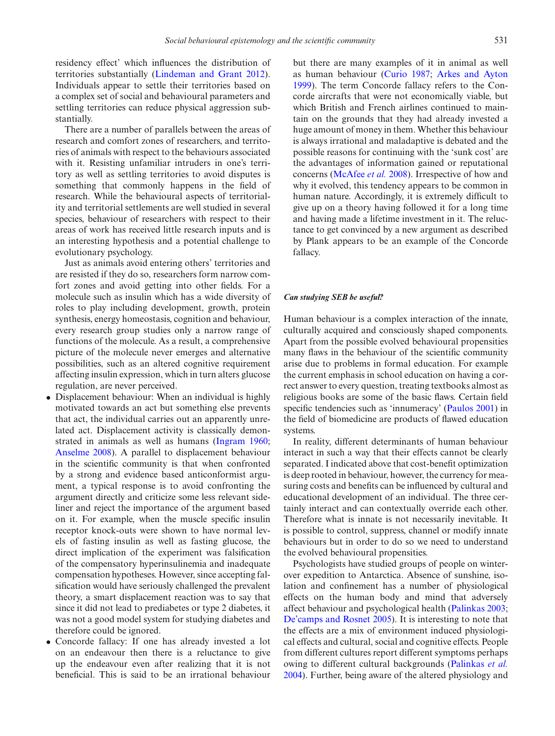residency effect' which influences the distribution of territories substantially [\(Lindeman and Grant 2012](#page-8-30)). Individuals appear to settle their territories based on a complex set of social and behavioural parameters and settling territories can reduce physical aggression substantially.

There are a number of parallels between the areas of research and comfort zones of researchers, and territories of animals with respect to the behaviours associated with it. Resisting unfamiliar intruders in one's territory as well as settling territories to avoid disputes is something that commonly happens in the field of research. While the behavioural aspects of territoriality and territorial settlements are well studied in several species, behaviour of researchers with respect to their areas of work has received little research inputs and is an interesting hypothesis and a potential challenge to evolutionary psychology.

Just as animals avoid entering others' territories and are resisted if they do so, researchers form narrow comfort zones and avoid getting into other fields. For a molecule such as insulin which has a wide diversity of roles to play including development, growth, protein synthesis, energy homeostasis, cognition and behaviour, every research group studies only a narrow range of functions of the molecule. As a result, a comprehensive picture of the molecule never emerges and alternative possibilities, such as an altered cognitive requirement affecting insulin expression, which in turn alters glucose regulation, are never perceived.

- Displacement behaviour: When an individual is highly motivated towards an act but something else prevents that act, the individual carries out an apparently unrelated act. Displacement activity is classically demonstrated in animals as well as humans [\(Ingram 1960;](#page-8-31) [Anselme 2008\)](#page-7-15). A parallel to displacement behaviour in the scientific community is that when confronted by a strong and evidence based anticonformist argument, a typical response is to avoid confronting the argument directly and criticize some less relevant sideliner and reject the importance of the argument based on it. For example, when the muscle specific insulin receptor knock-outs were shown to have normal levels of fasting insulin as well as fasting glucose, the direct implication of the experiment was falsification of the compensatory hyperinsulinemia and inadequate compensation hypotheses. However, since accepting falsification would have seriously challenged the prevalent theory, a smart displacement reaction was to say that since it did not lead to prediabetes or type 2 diabetes, it was not a good model system for studying diabetes and therefore could be ignored.
- Concorde fallacy: If one has already invested a lot on an endeavour then there is a reluctance to give up the endeavour even after realizing that it is not beneficial. This is said to be an irrational behaviour

but there are many examples of it in animal as well as human behaviour [\(Curio 1987;](#page-7-16) [Arkes and Ayton](#page-7-17) [1999](#page-7-17)). The term Concorde fallacy refers to the Concorde aircrafts that were not economically viable, but which British and French airlines continued to maintain on the grounds that they had already invested a huge amount of money in them. Whether this behaviour is always irrational and maladaptive is debated and the possible reasons for continuing with the 'sunk cost' are the advantages of information gained or reputational concerns [\(McAfee](#page-8-32) *et al.* [2008](#page-8-32)). Irrespective of how and why it evolved, this tendency appears to be common in human nature. Accordingly, it is extremely difficult to give up on a theory having followed it for a long time and having made a lifetime investment in it. The reluctance to get convinced by a new argument as described by Plank appears to be an example of the Concorde fallacy.

#### *Can studying SEB be useful?*

Human behaviour is a complex interaction of the innate, culturally acquired and consciously shaped components. Apart from the possible evolved behavioural propensities many flaws in the behaviour of the scientific community arise due to problems in formal education. For example the current emphasis in school education on having a correct answer to every question, treating textbooks almost as religious books are some of the basic flaws. Certain field specific tendencies such as 'innumeracy' [\(Paulos 2001\)](#page-8-33) in the field of biomedicine are products of flawed education systems.

In reality, different determinants of human behaviour interact in such a way that their effects cannot be clearly separated. I indicated above that cost-benefit optimization is deep rooted in behaviour, however, the currency for measuring costs and benefits can be influenced by cultural and educational development of an individual. The three certainly interact and can contextually override each other. Therefore what is innate is not necessarily inevitable. It is possible to control, suppress, channel or modify innate behaviours but in order to do so we need to understand the evolved behavioural propensities.

Psychologists have studied groups of people on winterover expedition to Antarctica. Absence of sunshine, isolation and confinement has a number of physiological effects on the human body and mind that adversely affect behaviour and psychological health [\(Palinkas 2003;](#page-8-34) [De'camps and Rosnet 2005](#page-7-18)). It is interesting to note that the effects are a mix of environment induced physiological effects and cultural, social and cognitive effects. People from different cultures report different symptoms perhaps owing to different cultural backgrounds [\(Palinkas](#page-8-35) *et al.* [2004](#page-8-35)). Further, being aware of the altered physiology and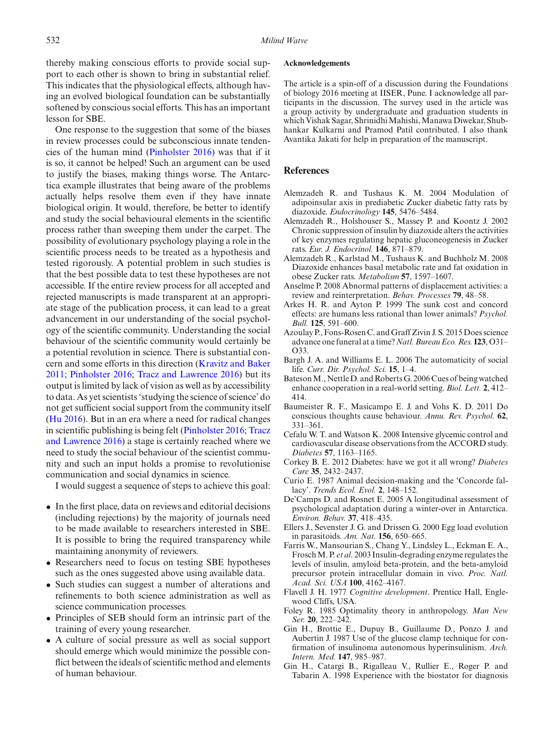thereby making conscious efforts to provide social support to each other is shown to bring in substantial relief. This indicates that the physiological effects, although having an evolved biological foundation can be substantially softened by conscious social efforts. This has an important lesson for SBE.

One response to the suggestion that some of the biases in review processes could be subconscious innate tendencies of the human mind [\(Pinholster 2016](#page-8-22)) was that if it is so, it cannot be helped! Such an argument can be used to justify the biases, making things worse. The Antarctica example illustrates that being aware of the problems actually helps resolve them even if they have innate biological origin. It would, therefore, be better to identify and study the social behavioural elements in the scientific process rather than sweeping them under the carpet. The possibility of evolutionary psychology playing a role in the scientific process needs to be treated as a hypothesis and tested rigorously. A potential problem in such studies is that the best possible data to test these hypotheses are not accessible. If the entire review process for all accepted and rejected manuscripts is made transparent at an appropriate stage of the publication process, it can lead to a great advancement in our understanding of the social psychology of the scientific community. Understanding the social behaviour of the scientific community would certainly be a potential revolution in science. There is substantial concern and some efforts in this direction [\(Kravitz and Baker](#page-8-21) [2011](#page-8-21); [Pinholster 2016;](#page-8-22) [Tracz and Lawrence 2016\)](#page-8-36) but its output is limited by lack of vision as well as by accessibility to data. As yet scientists 'studying the science of science' do not get sufficient social support from the community itself [\(Hu 2016\)](#page-8-37). But in an era where a need for radical changes in scientific p[ublishing](#page-8-36) [is](#page-8-36) [being](#page-8-36) [felt](#page-8-36) [\(Pinholster 2016](#page-8-22)[;](#page-8-36) Tracz and Lawrence [2016\)](#page-8-36) a stage is certainly reached where we need to study the social behaviour of the scientist community and such an input holds a promise to revolutionise communication and social dynamics in science.

I would suggest a sequence of steps to achieve this goal:

- In the first place, data on reviews and editorial decisions (including rejections) by the majority of journals need to be made available to researchers interested in SBE. It is possible to bring the required transparency while maintaining anonymity of reviewers.
- Researchers need to focus on testing SBE hypotheses such as the ones suggested above using available data.
- Such studies can suggest a number of alterations and refinements to both science administration as well as science communication processes.
- Principles of SEB should form an intrinsic part of the training of every young researcher.
- A culture of social pressure as well as social support should emerge which would minimize the possible conflict between the ideals of scientific method and elements of human behaviour.

#### **Acknowledgements**

The article is a spin-off of a discussion during the Foundations of biology 2016 meeting at IISER, Pune. I acknowledge all participants in the discussion. The survey used in the article was a group activity by undergraduate and graduation students in which Vishak Sagar, Shrinidhi Mahishi, Manawa Diwekar, Shubhankar Kulkarni and Pramod Patil contributed. I also thank Avantika Jakati for help in preparation of the manuscript.

#### **References**

- <span id="page-7-4"></span>Alemzadeh R. and Tushaus K. M. 2004 Modulation of adipoinsular axis in prediabetic Zucker diabetic fatty rats by diazoxide. *Endocrinology* **145**, 5476–5484.
- <span id="page-7-3"></span>Alemzadeh R., Holshouser S., Massey P. and Koontz J. 2002 Chronic suppression of insulin by diazoxide alters the activities of key enzymes regulating hepatic gluconeogenesis in Zucker rats. *Eur. J. Endocrinol.* **146**, 871–879.
- <span id="page-7-5"></span>Alemzadeh R., Karlstad M., Tushaus K. and Buchholz M. 2008 Diazoxide enhances basal metabolic rate and fat oxidation in obese Zucker rats. *Metabolism* **57**, 1597–1607.
- <span id="page-7-15"></span>Anselme P. 2008 Abnormal patterns of displacement activities: a review and reinterpretation. *Behav. Processes* **79**, 48–58.
- <span id="page-7-17"></span>Arkes H. R. and Ayton P. 1999 The sunk cost and concord effects: are humans less rational than lower animals? *Psychol. Bull.* **125**, 591–600.
- <span id="page-7-9"></span>Azoulay P., Fons-Rosen C. and Graff Zivin J. S. 2015 Does science advance one funeral at a time?*Natl. Bureau Eco. Res.***I23**, O31– O33.
- <span id="page-7-10"></span>Bargh J. A. and Williams E. L. 2006 The automaticity of social life. *Curr. Dir. Psychol. Sci.* **15**, 1–4.
- <span id="page-7-11"></span>BatesonM., Nettle D. and Roberts G. 2006 Cues of being watched enhance cooperation in a real-world setting. *Biol. Lett.* **2**, 412– 414.
- <span id="page-7-12"></span>Baumeister R. F., Masicampo E. J. and Vohs K. D. 2011 Do conscious thoughts cause behaviour. *Annu. Rev. Psychol.* **62**, 331–361.
- <span id="page-7-7"></span>Cefalu W. T. and Watson K. 2008 Intensive glycemic control and cardiovascular disease observations from the ACCORD study. *Diabetes* **57**, 1163–1165.
- <span id="page-7-2"></span>Corkey B. E. 2012 Diabetes: have we got it all wrong? *Diabetes Care* **35**, 2432–2437.
- <span id="page-7-16"></span>Curio E. 1987 Animal decision-making and the 'Concorde fallacy'. *Trends Ecol. Evol.* **2**, 148–152.
- <span id="page-7-18"></span>De'Camps D. and Rosnet E. 2005 A longitudinal assessment of psychological adaptation during a winter-over in Antarctica. *Environ. Behav.* **37**, 418–435.
- <span id="page-7-14"></span>Ellers J., Sevenster J. G. and Drissen G. 2000 Egg load evolution in parasitoids. *Am. Nat.* **156**, 650–665.
- <span id="page-7-6"></span>Farris W., Mansourian S., Chang Y., Lindsley L., Eckman E. A., FroschM. P. *et al*. 2003 Insulin-degrading enzyme regulates the levels of insulin, amyloid beta-protein, and the beta-amyloid precursor protein intracellular domain in vivo. *Proc. Natl. Acad. Sci. USA* **100**, 4162–4167.
- <span id="page-7-8"></span>Flavell J. H. 1977 *Cognitive development*. Prentice Hall, Englewood Cliffs, USA.
- <span id="page-7-13"></span>Foley R. 1985 Optimality theory in anthropology. *Man New Ser.* **20**, 222–242.
- <span id="page-7-0"></span>Gin H., Brottie E., Dupuy B., Guillaume D., Ponzo J. and Aubertin J. 1987 Use of the glucose clamp technique for confirmation of insulinoma autonomous hyperinsulinism. *Arch. Intern. Med.* **147**, 985–987.
- <span id="page-7-1"></span>Gin H., Catargi B., Rigalleau V., Rullier E., Roger P. and Tabarin A. 1998 Experience with the biostator for diagnosis